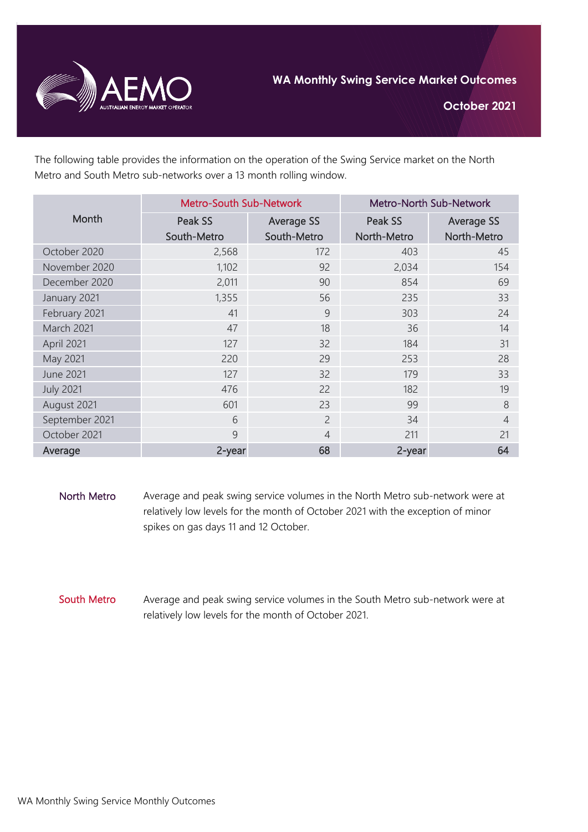

**October 2021**

The following table provides the information on the operation of the Swing Service market on the North Metro and South Metro sub-networks over a 13 month rolling window.

| Month             | <b>Metro-South Sub-Network</b> |                   | Metro-North Sub-Network |                   |
|-------------------|--------------------------------|-------------------|-------------------------|-------------------|
|                   | Peak SS                        | <b>Average SS</b> | Peak SS                 | <b>Average SS</b> |
|                   | South-Metro                    | South-Metro       | North-Metro             | North-Metro       |
| October 2020      | 2,568                          | 172               | 403                     | 45                |
| November 2020     | 1,102                          | 92                | 2,034                   | 154               |
| December 2020     | 2,011                          | 90                | 854                     | 69                |
| January 2021      | 1,355                          | 56                | 235                     | 33                |
| February 2021     | 41                             | 9                 | 303                     | 24                |
| <b>March 2021</b> | 47                             | 18                | 36                      | 14                |
| April 2021        | 127                            | 32                | 184                     | 31                |
| May 2021          | 220                            | 29                | 253                     | 28                |
| <b>June 2021</b>  | 127                            | 32                | 179                     | 33                |
| <b>July 2021</b>  | 476                            | 22                | 182                     | 19                |
| August 2021       | 601                            | 23                | 99                      | 8                 |
| September 2021    | 6                              | $\overline{2}$    | 34                      | $\overline{4}$    |
| October 2021      | 9                              | $\overline{4}$    | 211                     | 21                |
| Average           | 2-year                         | 68                | 2-year                  | 64                |

- North Metro Average and peak swing service volumes in the North Metro sub-network were at relatively low levels for the month of October 2021 with the exception of minor spikes on gas days 11 and 12 October.
- South Metro Average and peak swing service volumes in the South Metro sub-network were at relatively low levels for the month of October 2021.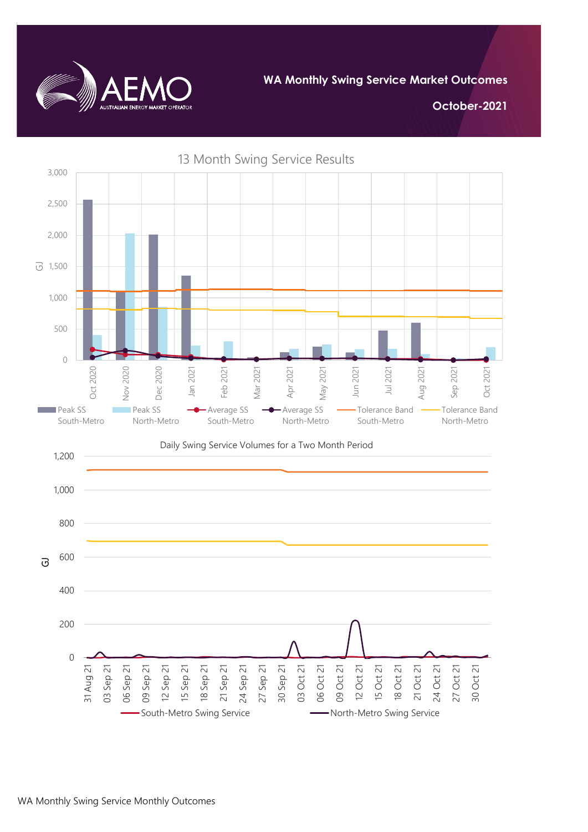

**WA Monthly Swing Service Market Outcomes**

**October-2021**